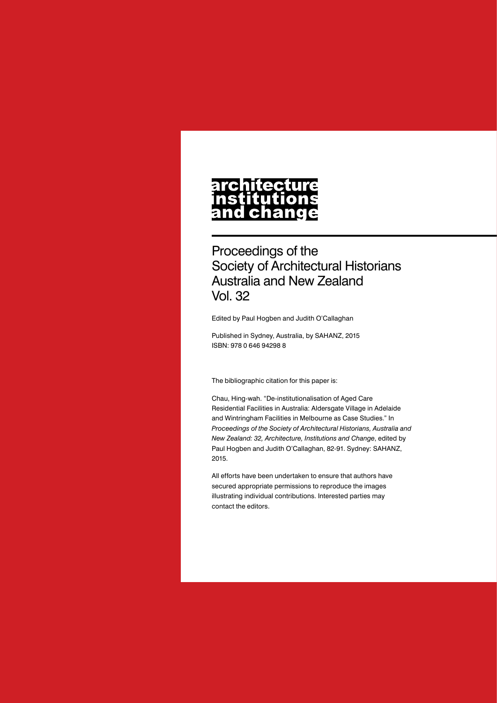# architecture nstitutions<br>and change

Proceedings of the Society of Architectural Historians Australia and New Zealand Vol. 32

Edited by Paul Hogben and Judith O'Callaghan

Published in Sydney, Australia, by SAHANZ, 2015 ISBN: 978 0 646 94298 8

The bibliographic citation for this paper is:

Chau, Hing-wah. "De-institutionalisation of Aged Care Residential Facilities in Australia: Aldersgate Village in Adelaide and Wintringham Facilities in Melbourne as Case Studies." In *Proceedings of the Society of Architectural Historians, Australia and New Zealand: 32, Architecture, Institutions and Change*, edited by Paul Hogben and Judith O'Callaghan, 82-91. Sydney: SAHANZ, 2015.

All efforts have been undertaken to ensure that authors have secured appropriate permissions to reproduce the images illustrating individual contributions. Interested parties may contact the editors.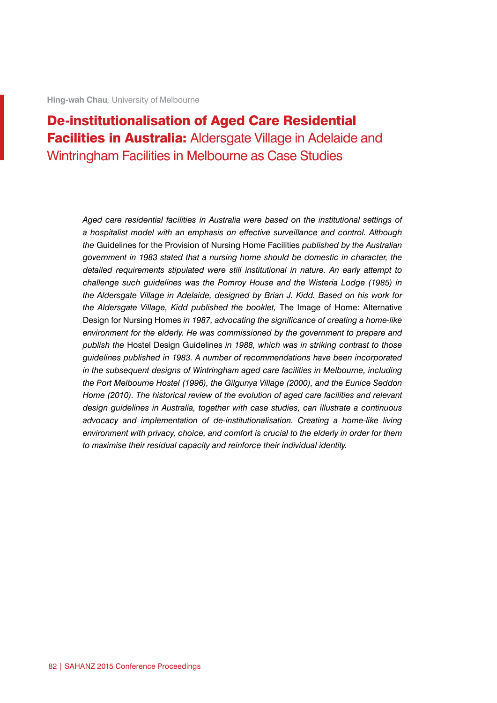**Hing-wah Chau***,* University of Melbourne

# De-institutionalisation of Aged Care Residential Facilities in Australia: Aldersgate Village in Adelaide and Wintringham Facilities in Melbourne as Case Studies

*Aged care residential facilities in Australia were based on the institutional settings of a hospitalist model with an emphasis on effective surveillance and control. Although the* Guidelines for the Provision of Nursing Home Facilities *published by the Australian government in 1983 stated that a nursing home should be domestic in character, the detailed requirements stipulated were still institutional in nature. An early attempt to challenge such guidelines was the Pomroy House and the Wisteria Lodge (1985) in the Aldersgate Village in Adelaide, designed by Brian J. Kidd. Based on his work for the Aldersgate Village, Kidd published the booklet,* The Image of Home: Alternative Design for Nursing Homes *in 1987, advocating the significance of creating a home-like environment for the elderly. He was commissioned by the government to prepare and publish the* Hostel Design Guidelines *in 1988, which was in striking contrast to those guidelines published in 1983. A number of recommendations have been incorporated in the subsequent designs of Wintringham aged care facilities in Melbourne, including the Port Melbourne Hostel (1996), the Gilgunya Village (2000), and the Eunice Seddon Home (2010). The historical review of the evolution of aged care facilities and relevant design guidelines in Australia, together with case studies, can illustrate a continuous advocacy and implementation of de-institutionalisation. Creating a home-like living environment with privacy, choice, and comfort is crucial to the elderly in order for them to maximise their residual capacity and reinforce their individual identity.*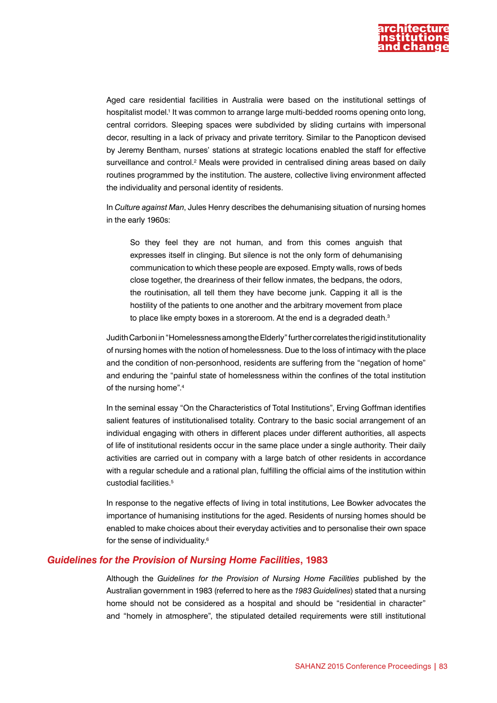

Aged care residential facilities in Australia were based on the institutional settings of hospitalist model.<sup>1</sup> It was common to arrange large multi-bedded rooms opening onto long, central corridors. Sleeping spaces were subdivided by sliding curtains with impersonal decor, resulting in a lack of privacy and private territory. Similar to the Panopticon devised by Jeremy Bentham, nurses' stations at strategic locations enabled the staff for effective surveillance and control.<sup>2</sup> Meals were provided in centralised dining areas based on daily routines programmed by the institution. The austere, collective living environment affected the individuality and personal identity of residents.

In *Culture against Man*, Jules Henry describes the dehumanising situation of nursing homes in the early 1960s:

So they feel they are not human, and from this comes anguish that expresses itself in clinging. But silence is not the only form of dehumanising communication to which these people are exposed. Empty walls, rows of beds close together, the dreariness of their fellow inmates, the bedpans, the odors, the routinisation, all tell them they have become junk. Capping it all is the hostility of the patients to one another and the arbitrary movement from place to place like empty boxes in a storeroom. At the end is a degraded death.<sup>3</sup>

Judith Carboni in "Homelessness among the Elderly" further correlates the rigid institutionality of nursing homes with the notion of homelessness. Due to the loss of intimacy with the place and the condition of non-personhood, residents are suffering from the "negation of home" and enduring the "painful state of homelessness within the confines of the total institution of the nursing home".4

In the seminal essay "On the Characteristics of Total Institutions", Erving Goffman identifies salient features of institutionalised totality. Contrary to the basic social arrangement of an individual engaging with others in different places under different authorities, all aspects of life of institutional residents occur in the same place under a single authority. Their daily activities are carried out in company with a large batch of other residents in accordance with a regular schedule and a rational plan, fulfilling the official aims of the institution within custodial facilities.<sup>5</sup>

In response to the negative effects of living in total institutions, Lee Bowker advocates the importance of humanising institutions for the aged. Residents of nursing homes should be enabled to make choices about their everyday activities and to personalise their own space for the sense of individuality.6

#### *Guidelines for the Provision of Nursing Home Facilities***, 1983**

Although the *Guidelines for the Provision of Nursing Home Facilities* published by the Australian government in 1983 (referred to here as the *1983 Guidelines*) stated that a nursing home should not be considered as a hospital and should be "residential in character" and "homely in atmosphere", the stipulated detailed requirements were still institutional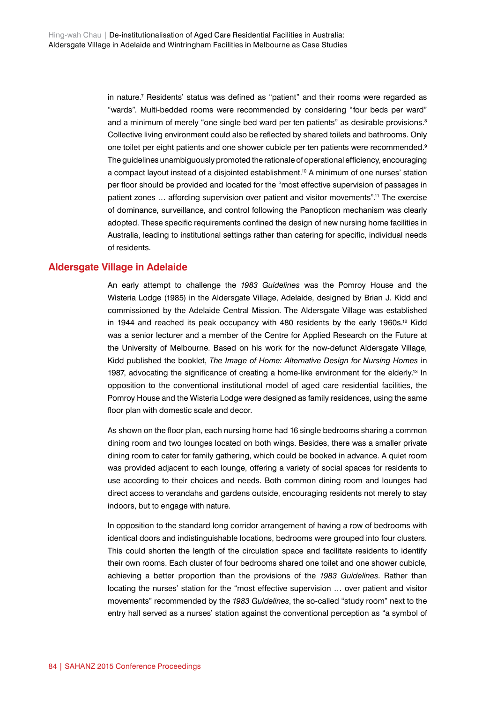in nature.7 Residents' status was defined as "patient" and their rooms were regarded as "wards". Multi-bedded rooms were recommended by considering "four beds per ward" and a minimum of merely "one single bed ward per ten patients" as desirable provisions.<sup>8</sup> Collective living environment could also be reflected by shared toilets and bathrooms. Only one toilet per eight patients and one shower cubicle per ten patients were recommended.<sup>9</sup> The guidelines unambiguously promoted the rationale of operational efficiency, encouraging a compact layout instead of a disjointed establishment.10 A minimum of one nurses' station per floor should be provided and located for the "most effective supervision of passages in patient zones … affording supervision over patient and visitor movements".11 The exercise of dominance, surveillance, and control following the Panopticon mechanism was clearly adopted. These specific requirements confined the design of new nursing home facilities in Australia, leading to institutional settings rather than catering for specific, individual needs of residents.

## **Aldersgate Village in Adelaide**

An early attempt to challenge the *1983 Guidelines* was the Pomroy House and the Wisteria Lodge (1985) in the Aldersgate Village, Adelaide, designed by Brian J. Kidd and commissioned by the Adelaide Central Mission. The Aldersgate Village was established in 1944 and reached its peak occupancy with 480 residents by the early 1960s.<sup>12</sup> Kidd was a senior lecturer and a member of the Centre for Applied Research on the Future at the University of Melbourne. Based on his work for the now-defunct Aldersgate Village, Kidd published the booklet, *The Image of Home: Alternative Design for Nursing Homes* in 1987, advocating the significance of creating a home-like environment for the elderly.<sup>13</sup> In opposition to the conventional institutional model of aged care residential facilities, the Pomroy House and the Wisteria Lodge were designed as family residences, using the same floor plan with domestic scale and decor.

As shown on the floor plan, each nursing home had 16 single bedrooms sharing a common dining room and two lounges located on both wings. Besides, there was a smaller private dining room to cater for family gathering, which could be booked in advance. A quiet room was provided adjacent to each lounge, offering a variety of social spaces for residents to use according to their choices and needs. Both common dining room and lounges had direct access to verandahs and gardens outside, encouraging residents not merely to stay indoors, but to engage with nature.

In opposition to the standard long corridor arrangement of having a row of bedrooms with identical doors and indistinguishable locations, bedrooms were grouped into four clusters. This could shorten the length of the circulation space and facilitate residents to identify their own rooms. Each cluster of four bedrooms shared one toilet and one shower cubicle, achieving a better proportion than the provisions of the *1983 Guidelines*. Rather than locating the nurses' station for the "most effective supervision … over patient and visitor movements" recommended by the *1983 Guidelines*, the so-called "study room" next to the entry hall served as a nurses' station against the conventional perception as "a symbol of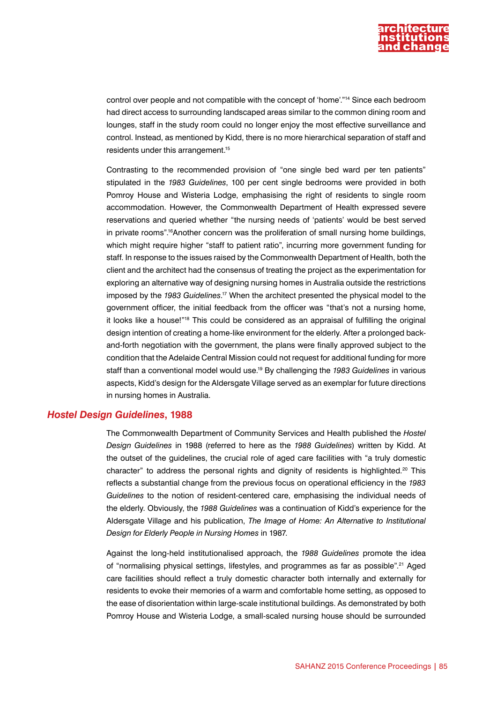

control over people and not compatible with the concept of 'home'."14 Since each bedroom had direct access to surrounding landscaped areas similar to the common dining room and lounges, staff in the study room could no longer enjoy the most effective surveillance and control. Instead, as mentioned by Kidd, there is no more hierarchical separation of staff and residents under this arrangement.15

Contrasting to the recommended provision of "one single bed ward per ten patients" stipulated in the *1983 Guidelines*, 100 per cent single bedrooms were provided in both Pomroy House and Wisteria Lodge, emphasising the right of residents to single room accommodation. However, the Commonwealth Department of Health expressed severe reservations and queried whether "the nursing needs of 'patients' would be best served in private rooms".<sup>16</sup>Another concern was the proliferation of small nursing home buildings, which might require higher "staff to patient ratio", incurring more government funding for staff. In response to the issues raised by the Commonwealth Department of Health, both the client and the architect had the consensus of treating the project as the experimentation for exploring an alternative way of designing nursing homes in Australia outside the restrictions imposed by the *1983 Guidelines*. 17 When the architect presented the physical model to the government officer, the initial feedback from the officer was "that's not a nursing home, it looks like a house!"18 This could be considered as an appraisal of fulfilling the original design intention of creating a home-like environment for the elderly. After a prolonged backand-forth negotiation with the government, the plans were finally approved subject to the condition that the Adelaide Central Mission could not request for additional funding for more staff than a conventional model would use.19 By challenging the *1983 Guidelines* in various aspects, Kidd's design for the Aldersgate Village served as an exemplar for future directions in nursing homes in Australia.

#### *Hostel Design Guidelines***, 1988**

The Commonwealth Department of Community Services and Health published the *Hostel Design Guidelines* in 1988 (referred to here as the *1988 Guidelines*) written by Kidd. At the outset of the guidelines, the crucial role of aged care facilities with "a truly domestic character" to address the personal rights and dignity of residents is highlighted.<sup>20</sup> This reflects a substantial change from the previous focus on operational efficiency in the *1983 Guidelines* to the notion of resident-centered care, emphasising the individual needs of the elderly. Obviously, the *1988 Guidelines* was a continuation of Kidd's experience for the Aldersgate Village and his publication, *The Image of Home: An Alternative to Institutional Design for Elderly People in Nursing Homes* in 1987.

Against the long-held institutionalised approach, the *1988 Guidelines* promote the idea of "normalising physical settings, lifestyles, and programmes as far as possible".21 Aged care facilities should reflect a truly domestic character both internally and externally for residents to evoke their memories of a warm and comfortable home setting, as opposed to the ease of disorientation within large-scale institutional buildings. As demonstrated by both Pomroy House and Wisteria Lodge, a small-scaled nursing house should be surrounded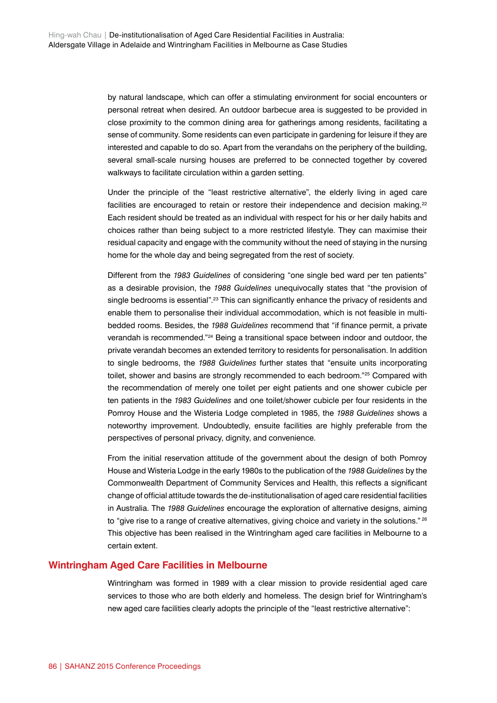by natural landscape, which can offer a stimulating environment for social encounters or personal retreat when desired. An outdoor barbecue area is suggested to be provided in close proximity to the common dining area for gatherings among residents, facilitating a sense of community. Some residents can even participate in gardening for leisure if they are interested and capable to do so. Apart from the verandahs on the periphery of the building, several small-scale nursing houses are preferred to be connected together by covered walkways to facilitate circulation within a garden setting.

Under the principle of the "least restrictive alternative", the elderly living in aged care facilities are encouraged to retain or restore their independence and decision making.<sup>22</sup> Each resident should be treated as an individual with respect for his or her daily habits and choices rather than being subject to a more restricted lifestyle. They can maximise their residual capacity and engage with the community without the need of staying in the nursing home for the whole day and being segregated from the rest of society.

Different from the *1983 Guidelines* of considering "one single bed ward per ten patients" as a desirable provision, the *1988 Guidelines* unequivocally states that "the provision of single bedrooms is essential".<sup>23</sup> This can significantly enhance the privacy of residents and enable them to personalise their individual accommodation, which is not feasible in multibedded rooms. Besides, the *1988 Guidelines* recommend that "if finance permit, a private verandah is recommended."24 Being a transitional space between indoor and outdoor, the private verandah becomes an extended territory to residents for personalisation. In addition to single bedrooms, the *1988 Guidelines* further states that "ensuite units incorporating toilet, shower and basins are strongly recommended to each bedroom."<sup>25</sup> Compared with the recommendation of merely one toilet per eight patients and one shower cubicle per ten patients in the *1983 Guidelines* and one toilet/shower cubicle per four residents in the Pomroy House and the Wisteria Lodge completed in 1985, the *1988 Guidelines* shows a noteworthy improvement. Undoubtedly, ensuite facilities are highly preferable from the perspectives of personal privacy, dignity, and convenience.

From the initial reservation attitude of the government about the design of both Pomroy House and Wisteria Lodge in the early 1980s to the publication of the *1988 Guidelines* by the Commonwealth Department of Community Services and Health, this reflects a significant change of official attitude towards the de-institutionalisation of aged care residential facilities in Australia. The *1988 Guidelines* encourage the exploration of alternative designs, aiming to "give rise to a range of creative alternatives, giving choice and variety in the solutions."<sup>26</sup> This objective has been realised in the Wintringham aged care facilities in Melbourne to a certain extent.

### **Wintringham Aged Care Facilities in Melbourne**

Wintringham was formed in 1989 with a clear mission to provide residential aged care services to those who are both elderly and homeless. The design brief for Wintringham's new aged care facilities clearly adopts the principle of the "least restrictive alternative":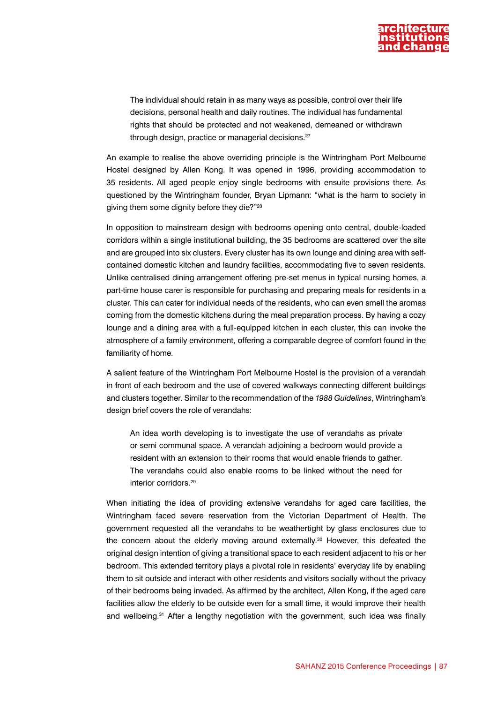

The individual should retain in as many ways as possible, control over their life decisions, personal health and daily routines. The individual has fundamental rights that should be protected and not weakened, demeaned or withdrawn through design, practice or managerial decisions.27

An example to realise the above overriding principle is the Wintringham Port Melbourne Hostel designed by Allen Kong. It was opened in 1996, providing accommodation to 35 residents. All aged people enjoy single bedrooms with ensuite provisions there. As questioned by the Wintringham founder, Bryan Lipmann: "what is the harm to society in giving them some dignity before they die?"28

In opposition to mainstream design with bedrooms opening onto central, double-loaded corridors within a single institutional building, the 35 bedrooms are scattered over the site and are grouped into six clusters. Every cluster has its own lounge and dining area with selfcontained domestic kitchen and laundry facilities, accommodating five to seven residents. Unlike centralised dining arrangement offering pre-set menus in typical nursing homes, a part-time house carer is responsible for purchasing and preparing meals for residents in a cluster. This can cater for individual needs of the residents, who can even smell the aromas coming from the domestic kitchens during the meal preparation process. By having a cozy lounge and a dining area with a full-equipped kitchen in each cluster, this can invoke the atmosphere of a family environment, offering a comparable degree of comfort found in the familiarity of home.

A salient feature of the Wintringham Port Melbourne Hostel is the provision of a verandah in front of each bedroom and the use of covered walkways connecting different buildings and clusters together. Similar to the recommendation of the *1988 Guidelines*, Wintringham's design brief covers the role of verandahs:

An idea worth developing is to investigate the use of verandahs as private or semi communal space. A verandah adjoining a bedroom would provide a resident with an extension to their rooms that would enable friends to gather. The verandahs could also enable rooms to be linked without the need for interior corridors.29

When initiating the idea of providing extensive verandahs for aged care facilities, the Wintringham faced severe reservation from the Victorian Department of Health. The government requested all the verandahs to be weathertight by glass enclosures due to the concern about the elderly moving around externally.<sup>30</sup> However, this defeated the original design intention of giving a transitional space to each resident adjacent to his or her bedroom. This extended territory plays a pivotal role in residents' everyday life by enabling them to sit outside and interact with other residents and visitors socially without the privacy of their bedrooms being invaded. As affirmed by the architect, Allen Kong, if the aged care facilities allow the elderly to be outside even for a small time, it would improve their health and wellbeing.<sup>31</sup> After a lengthy negotiation with the government, such idea was finally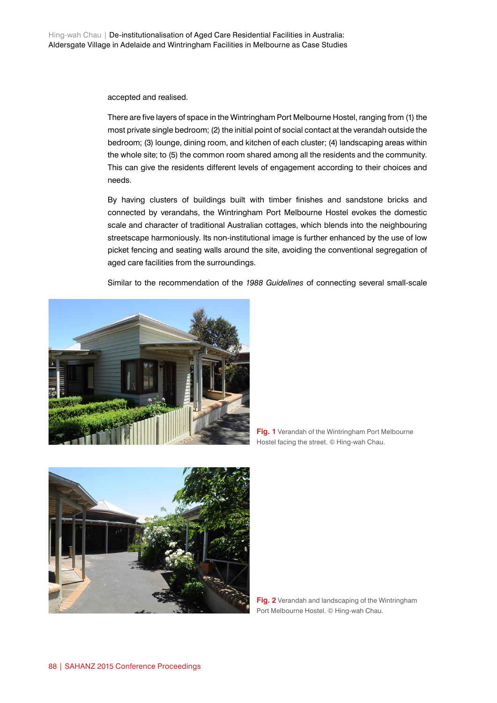accepted and realised.

There are five layers of space in the Wintringham Port Melbourne Hostel, ranging from (1) the most private single bedroom; (2) the initial point of social contact at the verandah outside the bedroom; (3) lounge, dining room, and kitchen of each cluster; (4) landscaping areas within the whole site; to (5) the common room shared among all the residents and the community. This can give the residents different levels of engagement according to their choices and needs.

By having clusters of buildings built with timber finishes and sandstone bricks and connected by verandahs, the Wintringham Port Melbourne Hostel evokes the domestic scale and character of traditional Australian cottages, which blends into the neighbouring streetscape harmoniously. Its non-institutional image is further enhanced by the use of low picket fencing and seating walls around the site, avoiding the conventional segregation of aged care facilities from the surroundings.

Similar to the recommendation of the *1988 Guidelines* of connecting several small-scale



**Fig. 1** Verandah of the Wintringham Port Melbourne Hostel facing the street. © Hing-wah Chau.



**Fig. 2** Verandah and landscaping of the Wintringham Port Melbourne Hostel. © Hing-wah Chau.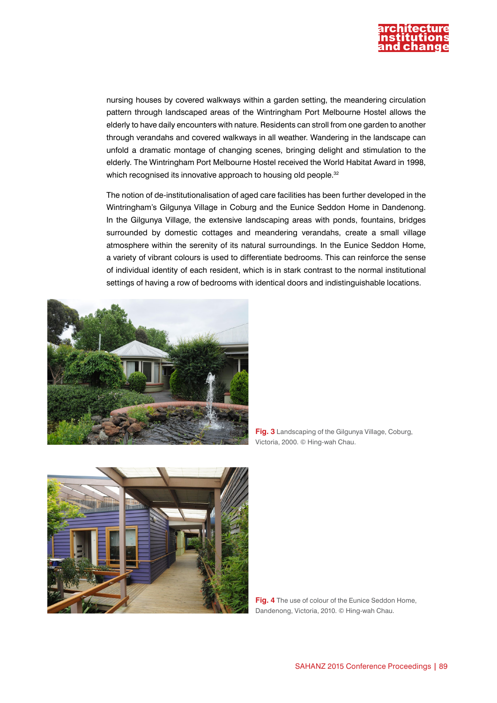

nursing houses by covered walkways within a garden setting, the meandering circulation pattern through landscaped areas of the Wintringham Port Melbourne Hostel allows the elderly to have daily encounters with nature. Residents can stroll from one garden to another through verandahs and covered walkways in all weather. Wandering in the landscape can unfold a dramatic montage of changing scenes, bringing delight and stimulation to the elderly. The Wintringham Port Melbourne Hostel received the World Habitat Award in 1998, which recognised its innovative approach to housing old people.<sup>32</sup>

The notion of de-institutionalisation of aged care facilities has been further developed in the Wintringham's Gilgunya Village in Coburg and the Eunice Seddon Home in Dandenong. In the Gilgunya Village, the extensive landscaping areas with ponds, fountains, bridges surrounded by domestic cottages and meandering verandahs, create a small village atmosphere within the serenity of its natural surroundings. In the Eunice Seddon Home, a variety of vibrant colours is used to differentiate bedrooms. This can reinforce the sense of individual identity of each resident, which is in stark contrast to the normal institutional settings of having a row of bedrooms with identical doors and indistinguishable locations.



**Fig. 3** Landscaping of the Gilgunya Village, Coburg, Victoria, 2000. © Hing-wah Chau.



**Fig. 4** The use of colour of the Eunice Seddon Home, Dandenong, Victoria, 2010. © Hing-wah Chau.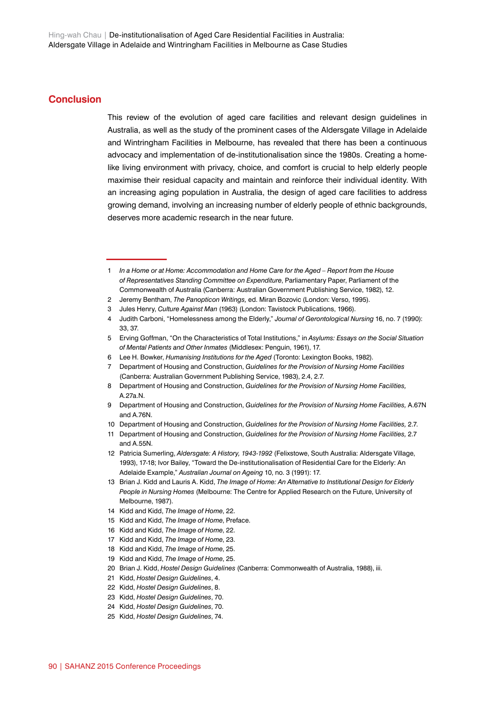### **Conclusion**

This review of the evolution of aged care facilities and relevant design guidelines in Australia, as well as the study of the prominent cases of the Aldersgate Village in Adelaide and Wintringham Facilities in Melbourne, has revealed that there has been a continuous advocacy and implementation of de-institutionalisation since the 1980s. Creating a homelike living environment with privacy, choice, and comfort is crucial to help elderly people maximise their residual capacity and maintain and reinforce their individual identity. With an increasing aging population in Australia, the design of aged care facilities to address growing demand, involving an increasing number of elderly people of ethnic backgrounds, deserves more academic research in the near future.

- 9 Department of Housing and Construction, *Guidelines for the Provision of Nursing Home Facilities,* A.67N and A.76N.
- 10 Department of Housing and Construction, *Guidelines for the Provision of Nursing Home Facilities,* 2.7.

- 15 Kidd and Kidd, *The Image of Home*, Preface.
- 16 Kidd and Kidd, *The Image of Home*, 22.
- 17 Kidd and Kidd, *The Image of Home*, 23.
- 18 Kidd and Kidd, *The Image of Home*, 25.
- 19 Kidd and Kidd, *The Image of Home*, 25.
- 20 Brian J. Kidd, *Hostel Design Guidelines* (Canberra: Commonwealth of Australia, 1988), iii.
- 21 Kidd, *Hostel Design Guidelines*, 4.
- 22 Kidd, *Hostel Design Guidelines*, 8.
- 23 Kidd, *Hostel Design Guidelines*, 70.
- 24 Kidd, *Hostel Design Guidelines*, 70.
- 25 Kidd, *Hostel Design Guidelines*, 74.

<sup>1</sup> *In a Home or at Home: Accommodation and Home Care for the Aged – Report from the House of Representatives Standing Committee on Expenditure*, Parliamentary Paper, Parliament of the Commonwealth of Australia (Canberra: Australian Government Publishing Service, 1982), 12.

<sup>2</sup> Jeremy Bentham, *The Panopticon Writings,* ed. Miran Bozovic (London: Verso, 1995).

<sup>3</sup> Jules Henry, *Culture Against Man* (1963) (London: Tavistock Publications, 1966).

<sup>4</sup> Judith Carboni, "Homelessness among the Elderly," *Journal of Gerontological Nursing* 16, no. 7 (1990): 33, 37.

<sup>5</sup> Erving Goffman, "On the Characteristics of Total Institutions," in *Asylums: Essays on the Social Situation of Mental Patients and Other Inmates* (Middlesex: Penguin, 1961), 17.

<sup>6</sup> Lee H. Bowker, *Humanising Institutions for the Aged* (Toronto: Lexington Books, 1982).

<sup>7</sup> Department of Housing and Construction, *Guidelines for the Provision of Nursing Home Facilities* (Canberra: Australian Government Publishing Service, 1983), 2.4, 2.7.

<sup>8</sup> Department of Housing and Construction, *Guidelines for the Provision of Nursing Home Facilities,* A.27a.N.

<sup>11</sup> Department of Housing and Construction, *Guidelines for the Provision of Nursing Home Facilities,* 2.7 and A.55N.

<sup>12</sup> Patricia Sumerling, *Aldersgate: A History, 1943-1992* (Felixstowe, South Australia: Aldersgate Village, 1993), 17-18; Ivor Bailey, "Toward the De-institutionalisation of Residential Care for the Elderly: An Adelaide Example," *Australian Journal on Ageing* 10, no. 3 (1991): 17.

<sup>13</sup> Brian J. Kidd and Lauris A. Kidd, *The Image of Home: An Alternative to Institutional Design for Elderly People in Nursing Homes* (Melbourne: The Centre for Applied Research on the Future, University of Melbourne, 1987).

<sup>14</sup> Kidd and Kidd, *The Image of Home*, 22.